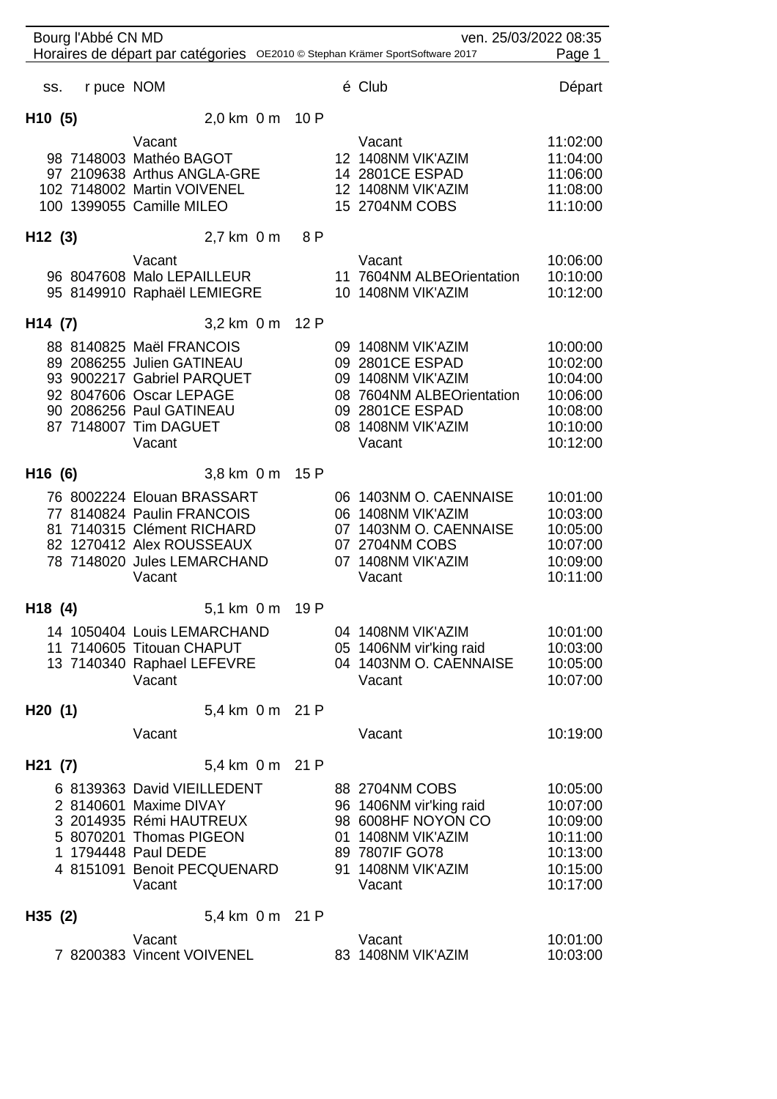| Bourg l'Abbé CN MD  |                                                                                                                                                                                |     | ven. 25/03/2022 08:35                                                                                                                       |                                                                                  |
|---------------------|--------------------------------------------------------------------------------------------------------------------------------------------------------------------------------|-----|---------------------------------------------------------------------------------------------------------------------------------------------|----------------------------------------------------------------------------------|
|                     | Horaires de départ par catégories OE2010 © Stephan Krämer SportSoftware 2017                                                                                                   |     |                                                                                                                                             | Page 1                                                                           |
| r puce NOM<br>SS.   |                                                                                                                                                                                |     | é Club                                                                                                                                      | Départ                                                                           |
| H <sub>10</sub> (5) | 2,0 km 0 m 10 P                                                                                                                                                                |     |                                                                                                                                             |                                                                                  |
|                     | Vacant<br>98 7148003 Mathéo BAGOT<br>97 2109638 Arthus ANGLA-GRE<br>102 7148002 Martin VOIVENEL<br>100 1399055 Camille MILEO                                                   |     | Vacant<br>12 1408NM VIK'AZIM<br>14 2801CE ESPAD<br>12 1408NM VIK'AZIM<br>15 2704NM COBS                                                     | 11:02:00<br>11:04:00<br>11:06:00<br>11:08:00<br>11:10:00                         |
| H12(3)              | 2,7 km 0 m                                                                                                                                                                     | 8 P |                                                                                                                                             |                                                                                  |
|                     | Vacant<br>96 8047608 Malo LEPAILLEUR<br>95 8149910 Raphaël LEMIEGRE                                                                                                            |     | Vacant<br>11 7604NM ALBEOrientation<br>10 1408NM VIK'AZIM                                                                                   | 10:06:00<br>10:10:00<br>10:12:00                                                 |
| H <sub>14</sub> (7) | 3,2 km 0 m 12 P                                                                                                                                                                |     |                                                                                                                                             |                                                                                  |
|                     | 88 8140825 Maël FRANCOIS<br>89 2086255 Julien GATINEAU<br>93 9002217 Gabriel PARQUET<br>92 8047606 Oscar LEPAGE<br>90 2086256 Paul GATINEAU<br>87 7148007 Tim DAGUET<br>Vacant |     | 09 1408NM VIK'AZIM<br>09 2801CE ESPAD<br>09 1408NM VIK'AZIM<br>08 7604NM ALBEOrientation<br>09 2801CE ESPAD<br>08 1408NM VIK'AZIM<br>Vacant | 10:00:00<br>10:02:00<br>10:04:00<br>10:06:00<br>10:08:00<br>10:10:00<br>10:12:00 |
| H <sub>16</sub> (6) | 3,8 km 0 m 15 P                                                                                                                                                                |     |                                                                                                                                             |                                                                                  |
|                     | 76 8002224 Elouan BRASSART<br>77 8140824 Paulin FRANCOIS<br>81 7140315 Clément RICHARD<br>82 1270412 Alex ROUSSEAUX<br>78 7148020 Jules LEMARCHAND<br>Vacant                   |     | 06 1403NM O. CAENNAISE<br>06 1408NM VIK'AZIM<br>07 1403NM O. CAENNAISE<br>07 2704NM COBS<br>07 1408NM VIK'AZIM<br>Vacant                    | 10:01:00<br>10:03:00<br>10:05:00<br>10:07:00<br>10:09:00<br>10:11:00             |
| H18(4)              | 5,1 km 0 m 19 P                                                                                                                                                                |     |                                                                                                                                             |                                                                                  |
|                     | 14 1050404 Louis LEMARCHAND<br>11 7140605 Titouan CHAPUT<br>13 7140340 Raphael LEFEVRE<br>Vacant                                                                               |     | 04 1408NM VIK'AZIM<br>05 1406NM vir'king raid<br>04 1403NM O. CAENNAISE<br>Vacant                                                           | 10:01:00<br>10:03:00<br>10:05:00<br>10:07:00                                     |
| H20(1)              | 5,4 km 0 m 21 P                                                                                                                                                                |     |                                                                                                                                             |                                                                                  |
|                     | Vacant                                                                                                                                                                         |     | Vacant                                                                                                                                      | 10:19:00                                                                         |
| H21 (7)             | 5,4 km 0 m 21 P                                                                                                                                                                |     |                                                                                                                                             |                                                                                  |
|                     | 6 8139363 David VIEILLEDENT<br>2 8140601 Maxime DIVAY<br>3 2014935 Rémi HAUTREUX<br>5 8070201 Thomas PIGEON<br>1 1794448 Paul DEDE<br>4 8151091 Benoit PECQUENARD<br>Vacant    |     | 88 2704NM COBS<br>96 1406NM vir'king raid<br>98 6008HF NOYON CO<br>01 1408NM VIK'AZIM<br>89 7807IF GO78<br>91 1408NM VIK'AZIM<br>Vacant     | 10:05:00<br>10:07:00<br>10:09:00<br>10:11:00<br>10:13:00<br>10:15:00<br>10:17:00 |
| H35(2)              | 5,4 km 0 m 21 P                                                                                                                                                                |     |                                                                                                                                             |                                                                                  |
|                     | Vacant<br>7 8200383 Vincent VOIVENEL                                                                                                                                           |     | Vacant<br>83 1408NM VIK'AZIM                                                                                                                | 10:01:00<br>10:03:00                                                             |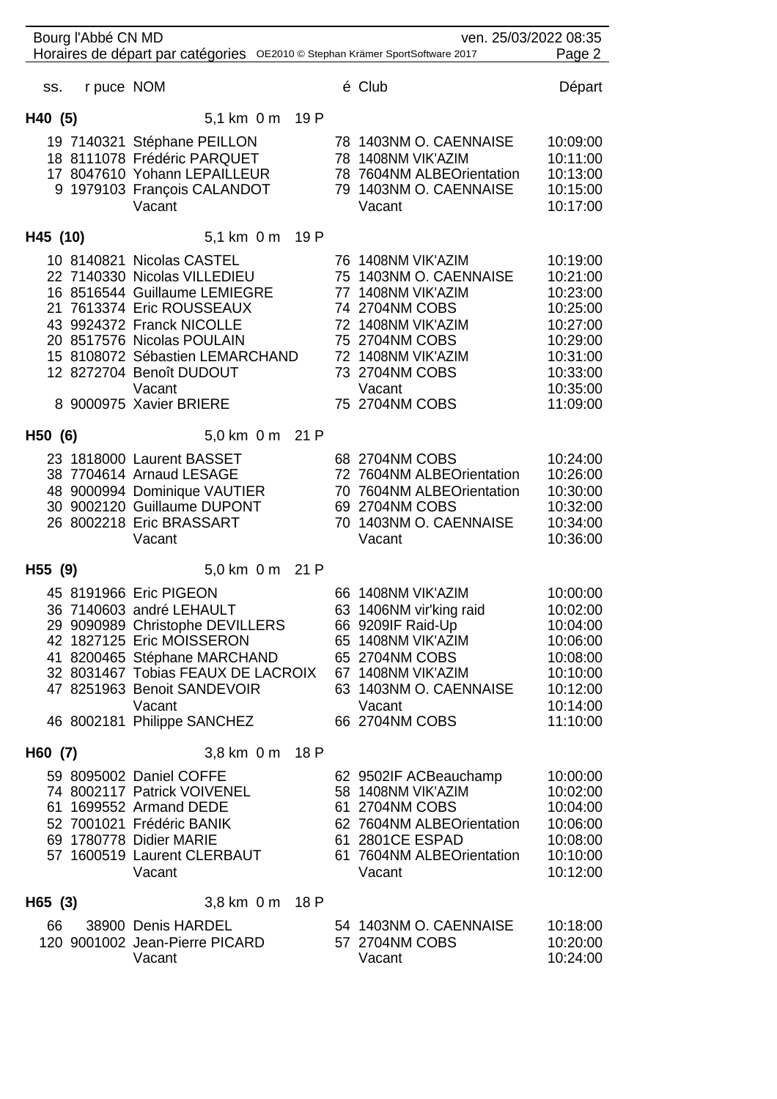| Bourg l'Abbé CN MD<br>ven. 25/03/2022 08:35<br>Horaires de départ par catégories OE2010 © Stephan Krämer SportSoftware 2017<br>Page 2 |                                                                                                                                                                                                                                                                                        |                                                                                                                                                                                                  |                                                                                                                      |  |  |  |  |
|---------------------------------------------------------------------------------------------------------------------------------------|----------------------------------------------------------------------------------------------------------------------------------------------------------------------------------------------------------------------------------------------------------------------------------------|--------------------------------------------------------------------------------------------------------------------------------------------------------------------------------------------------|----------------------------------------------------------------------------------------------------------------------|--|--|--|--|
|                                                                                                                                       |                                                                                                                                                                                                                                                                                        |                                                                                                                                                                                                  |                                                                                                                      |  |  |  |  |
| r puce NOM<br>SS.                                                                                                                     |                                                                                                                                                                                                                                                                                        | é Club                                                                                                                                                                                           | Départ                                                                                                               |  |  |  |  |
| H40 (5)                                                                                                                               | 5,1 km 0 m 19 P                                                                                                                                                                                                                                                                        |                                                                                                                                                                                                  |                                                                                                                      |  |  |  |  |
|                                                                                                                                       | 19 7140321 Stéphane PEILLON<br>18 8111078 Frédéric PARQUET<br>17 8047610 Yohann LEPAILLEUR<br>9 1979103 François CALANDOT<br>Vacant                                                                                                                                                    | 78 1403NM O. CAENNAISE<br>78 1408NM VIK'AZIM<br>78 7604NM ALBEOrientation<br>79 1403NM O. CAENNAISE<br>Vacant                                                                                    | 10:09:00<br>10:11:00<br>10:13:00<br>10:15:00<br>10:17:00                                                             |  |  |  |  |
| H45 (10)                                                                                                                              | 5,1 km 0 m 19 P                                                                                                                                                                                                                                                                        |                                                                                                                                                                                                  |                                                                                                                      |  |  |  |  |
|                                                                                                                                       | 10 8140821 Nicolas CASTEL<br>22 7140330 Nicolas VILLEDIEU<br>16 8516544 Guillaume LEMIEGRE<br>21 7613374 Eric ROUSSEAUX<br>43 9924372 Franck NICOLLE<br>20 8517576 Nicolas POULAIN<br>15 8108072 Sébastien LEMARCHAND<br>12 8272704 Benoît DUDOUT<br>Vacant<br>8 9000975 Xavier BRIERE | 76 1408NM VIK'AZIM<br>75 1403NM O. CAENNAISE<br>77 1408NM VIK'AZIM<br>74 2704NM COBS<br>72 1408NM VIK'AZIM<br>75 2704NM COBS<br>72 1408NM VIK'AZIM<br>73 2704NM COBS<br>Vacant<br>75 2704NM COBS | 10:19:00<br>10:21:00<br>10:23:00<br>10:25:00<br>10:27:00<br>10:29:00<br>10:31:00<br>10:33:00<br>10:35:00<br>11:09:00 |  |  |  |  |
| H50 (6)                                                                                                                               | 5,0 km 0 m 21 P                                                                                                                                                                                                                                                                        |                                                                                                                                                                                                  |                                                                                                                      |  |  |  |  |
|                                                                                                                                       | 23 1818000 Laurent BASSET<br>38 7704614 Arnaud LESAGE<br>48 9000994 Dominique VAUTIER<br>30 9002120 Guillaume DUPONT<br>26 8002218 Eric BRASSART<br>Vacant                                                                                                                             | 68 2704NM COBS<br>72 7604NM ALBEOrientation<br>70 7604NM ALBEOrientation<br>69 2704NM COBS<br>70 1403NM O. CAENNAISE<br>Vacant                                                                   | 10:24:00<br>10:26:00<br>10:30:00<br>10:32:00<br>10:34:00<br>10:36:00                                                 |  |  |  |  |
| H55 (9)                                                                                                                               | 5,0 km 0 m 21 P                                                                                                                                                                                                                                                                        |                                                                                                                                                                                                  |                                                                                                                      |  |  |  |  |
|                                                                                                                                       | 45 8191966 Eric PIGEON<br>36 7140603 andré LEHAULT<br>29 9090989 Christophe DEVILLERS<br>42 1827125 Eric MOISSERON<br>41 8200465 Stéphane MARCHAND<br>32 8031467 Tobias FEAUX DE LACROIX<br>47 8251963 Benoit SANDEVOIR<br>Vacant                                                      | 66 1408NM VIK'AZIM<br>63 1406NM vir'king raid<br>66 9209IF Raid-Up<br>65 1408NM VIK'AZIM<br>65 2704NM COBS<br>67 1408NM VIK'AZIM<br>63 1403NM O. CAENNAISE<br>Vacant                             | 10:00:00<br>10:02:00<br>10:04:00<br>10:06:00<br>10:08:00<br>10:10:00<br>10:12:00<br>10:14:00                         |  |  |  |  |
|                                                                                                                                       | 46 8002181 Philippe SANCHEZ                                                                                                                                                                                                                                                            | 66 2704NM COBS                                                                                                                                                                                   | 11:10:00                                                                                                             |  |  |  |  |
| H60 (7)                                                                                                                               | 3,8 km 0 m 18 P                                                                                                                                                                                                                                                                        |                                                                                                                                                                                                  |                                                                                                                      |  |  |  |  |
|                                                                                                                                       | 59 8095002 Daniel COFFE<br>74 8002117 Patrick VOIVENEL<br>61 1699552 Armand DEDE<br>52 7001021 Frédéric BANIK<br>69 1780778 Didier MARIE<br>57 1600519 Laurent CLERBAUT<br>Vacant                                                                                                      | 62 9502IF ACBeauchamp<br>58 1408NM VIK'AZIM<br>61 2704NM COBS<br>62 7604NM ALBEOrientation<br>61 2801CE ESPAD<br>61 7604NM ALBEOrientation<br>Vacant                                             | 10:00:00<br>10:02:00<br>10:04:00<br>10:06:00<br>10:08:00<br>10:10:00<br>10:12:00                                     |  |  |  |  |
| H65 (3)                                                                                                                               | 3,8 km 0 m<br>18 P                                                                                                                                                                                                                                                                     |                                                                                                                                                                                                  |                                                                                                                      |  |  |  |  |
| 66                                                                                                                                    | 38900 Denis HARDEL<br>120 9001002 Jean-Pierre PICARD<br>Vacant                                                                                                                                                                                                                         | 54 1403NM O. CAENNAISE<br>57 2704NM COBS<br>Vacant                                                                                                                                               | 10:18:00<br>10:20:00<br>10:24:00                                                                                     |  |  |  |  |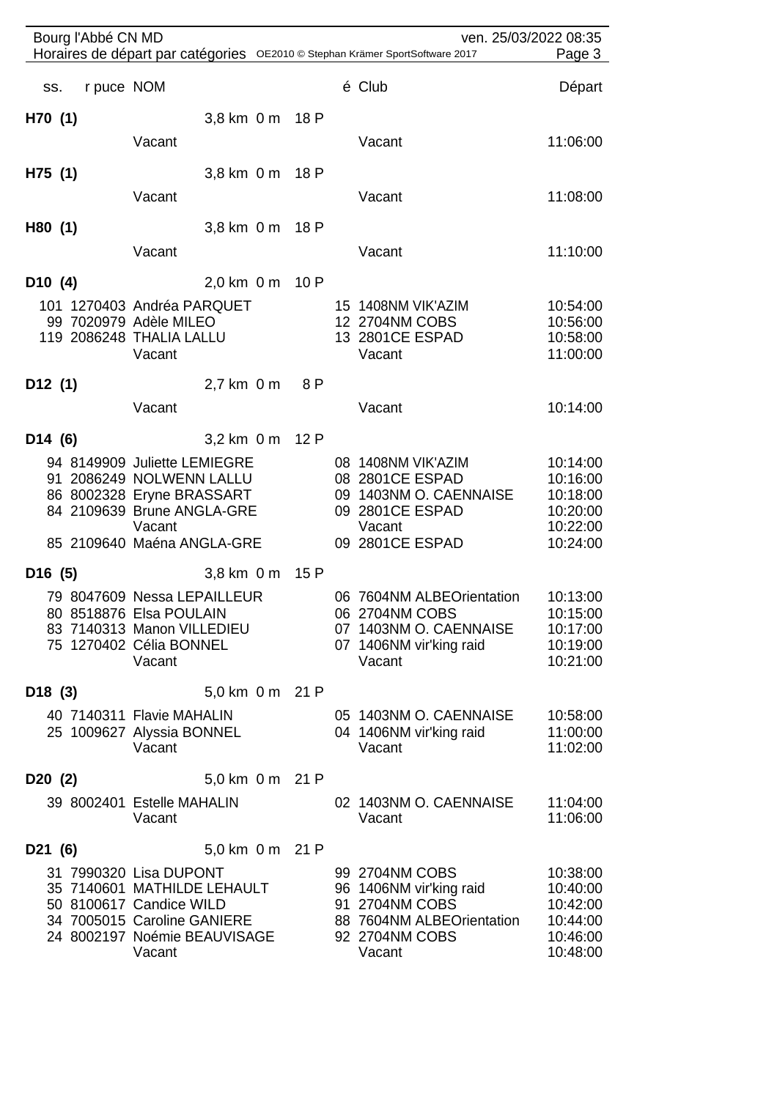| Bourg l'Abbé CN MD<br>ven. 25/03/2022 08:35                                            |            |                                                         |                 |  |     |  |                                             |                      |
|----------------------------------------------------------------------------------------|------------|---------------------------------------------------------|-----------------|--|-----|--|---------------------------------------------|----------------------|
| Horaires de départ par catégories OE2010 © Stephan Krämer SportSoftware 2017<br>Page 3 |            |                                                         |                 |  |     |  |                                             |                      |
| SS.                                                                                    | r puce NOM |                                                         |                 |  |     |  | é Club                                      | Départ               |
| H70(1)                                                                                 |            |                                                         | 3,8 km 0 m 18 P |  |     |  |                                             |                      |
|                                                                                        |            | Vacant                                                  |                 |  |     |  | Vacant                                      | 11:06:00             |
| H75 (1)                                                                                |            |                                                         | 3,8 km 0 m 18 P |  |     |  |                                             |                      |
|                                                                                        |            | Vacant                                                  |                 |  |     |  | Vacant                                      | 11:08:00             |
| H80 (1)                                                                                |            |                                                         | 3,8 km 0 m 18 P |  |     |  |                                             |                      |
|                                                                                        |            | Vacant                                                  |                 |  |     |  | Vacant                                      | 11:10:00             |
| D10(4)                                                                                 |            |                                                         | 2,0 km 0 m 10 P |  |     |  |                                             |                      |
|                                                                                        |            | 101 1270403 Andréa PARQUET                              |                 |  |     |  | 15 1408NM VIK'AZIM                          | 10:54:00             |
|                                                                                        |            | 99 7020979 Adèle MILEO                                  |                 |  |     |  | 12 2704NM COBS                              | 10:56:00             |
|                                                                                        |            | 119 2086248 THALIA LALLU                                |                 |  |     |  | 13 2801CE ESPAD                             | 10:58:00             |
|                                                                                        |            | Vacant                                                  |                 |  |     |  | Vacant                                      | 11:00:00             |
| D12(1)                                                                                 |            |                                                         | 2,7 km 0 m      |  | 8 P |  |                                             |                      |
|                                                                                        |            | Vacant                                                  |                 |  |     |  | Vacant                                      | 10:14:00             |
| D <sub>14</sub> $(6)$                                                                  |            |                                                         | 3,2 km 0 m 12 P |  |     |  |                                             |                      |
|                                                                                        |            | 94 8149909 Juliette LEMIEGRE                            |                 |  |     |  | 08 1408NM VIK'AZIM                          | 10:14:00             |
|                                                                                        |            | 91 2086249 NOLWENN LALLU                                |                 |  |     |  | 08 2801CE ESPAD                             | 10:16:00             |
|                                                                                        |            | 86 8002328 Eryne BRASSART<br>84 2109639 Brune ANGLA-GRE |                 |  |     |  | 09 1403NM O. CAENNAISE<br>09 2801CE ESPAD   | 10:18:00<br>10:20:00 |
|                                                                                        |            | Vacant                                                  |                 |  |     |  | Vacant                                      | 10:22:00             |
|                                                                                        |            | 85 2109640 Maéna ANGLA-GRE                              |                 |  |     |  | 09 2801CE ESPAD                             | 10:24:00             |
| D16(5)                                                                                 |            |                                                         | $3,8$ km $0$ m  |  | 15P |  |                                             |                      |
|                                                                                        |            | 79 8047609 Nessa LEPAILLEUR                             |                 |  |     |  | 06 7604NM ALBEOrientation                   | 10:13:00             |
|                                                                                        |            | 80 8518876 Elsa POULAIN<br>83 7140313 Manon VILLEDIEU   |                 |  |     |  | 06 2704NM COBS<br>07 1403NM O. CAENNAISE    | 10:15:00<br>10:17:00 |
|                                                                                        |            | 75 1270402 Célia BONNEL                                 |                 |  |     |  | 07 1406NM vir'king raid                     | 10:19:00             |
|                                                                                        |            | Vacant                                                  |                 |  |     |  | Vacant                                      | 10:21:00             |
| D18(3)                                                                                 |            |                                                         | 5.0 km 0 m 21 P |  |     |  |                                             |                      |
|                                                                                        |            | 40 7140311 Flavie MAHALIN                               |                 |  |     |  | 05 1403NM O. CAENNAISE                      | 10:58:00             |
|                                                                                        |            | 25 1009627 Alyssia BONNEL<br>Vacant                     |                 |  |     |  | 04 1406NM vir'king raid<br>Vacant           | 11:00:00<br>11:02:00 |
|                                                                                        |            |                                                         |                 |  |     |  |                                             |                      |
| D20(2)                                                                                 |            |                                                         | 5,0 km 0 m 21 P |  |     |  |                                             |                      |
|                                                                                        |            | 39 8002401 Estelle MAHALIN<br>Vacant                    |                 |  |     |  | 02 1403NM O. CAENNAISE<br>Vacant            | 11:04:00<br>11:06:00 |
| D21 (6)                                                                                |            |                                                         | 5,0 km 0 m 21 P |  |     |  |                                             |                      |
|                                                                                        |            | 31 7990320 Lisa DUPONT                                  |                 |  |     |  | 99 2704NM COBS                              | 10:38:00             |
|                                                                                        |            | 35 7140601 MATHILDE LEHAULT                             |                 |  |     |  | 96 1406NM vir'king raid                     | 10:40:00             |
|                                                                                        |            | 50 8100617 Candice WILD<br>34 7005015 Caroline GANIERE  |                 |  |     |  | 91 2704NM COBS<br>88 7604NM ALBEOrientation | 10:42:00             |
|                                                                                        |            | 24 8002197 Noémie BEAUVISAGE                            |                 |  |     |  | 92 2704NM COBS                              | 10:44:00<br>10:46:00 |
|                                                                                        |            | Vacant                                                  |                 |  |     |  | Vacant                                      | 10:48:00             |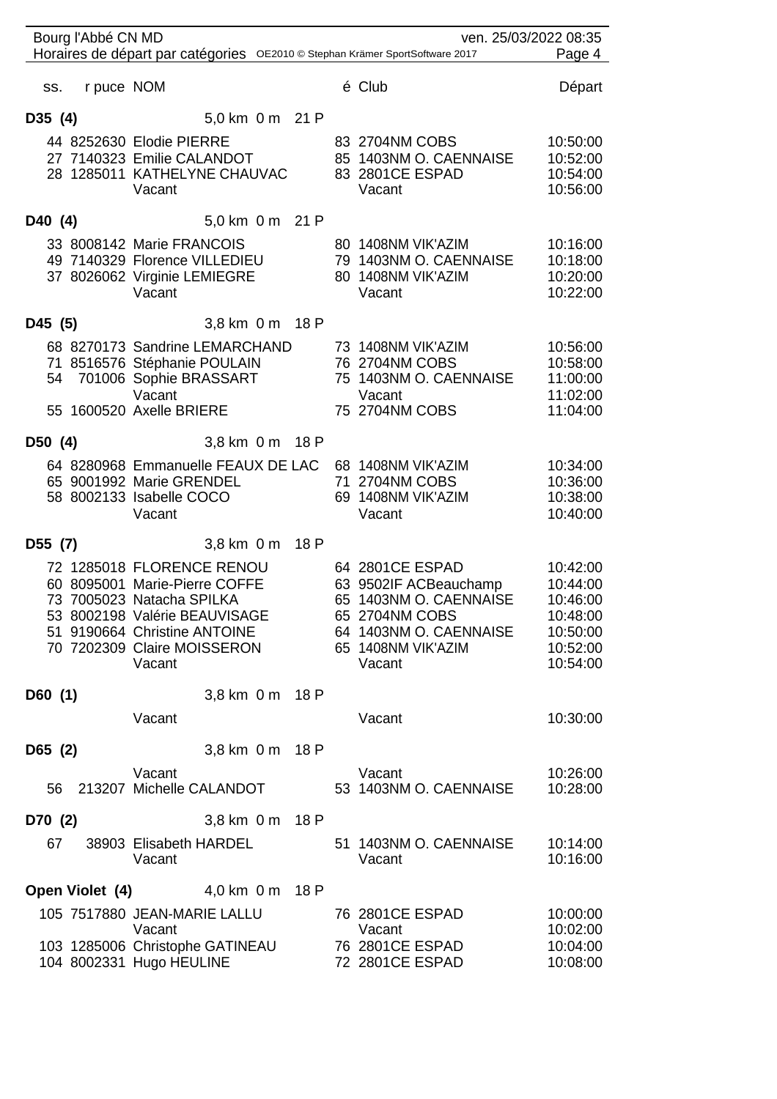| Bourg l'Abbé CN MD<br>ven. 25/03/2022 08:35 |                                                                                                                                                                                                   |      |  |                                                                                                                                                |                                                                                  |
|---------------------------------------------|---------------------------------------------------------------------------------------------------------------------------------------------------------------------------------------------------|------|--|------------------------------------------------------------------------------------------------------------------------------------------------|----------------------------------------------------------------------------------|
|                                             | Horaires de départ par catégories OE2010 © Stephan Krämer SportSoftware 2017                                                                                                                      |      |  |                                                                                                                                                | Page 4                                                                           |
| r puce NOM<br>SS.                           |                                                                                                                                                                                                   |      |  | é Club                                                                                                                                         | Départ                                                                           |
| D35 (4)                                     | 5,0 km 0 m 21 P                                                                                                                                                                                   |      |  |                                                                                                                                                |                                                                                  |
|                                             | 44 8252630 Elodie PIERRE<br>27 7140323 Emilie CALANDOT<br>28 1285011 KATHELYNE CHAUVAC<br>Vacant                                                                                                  |      |  | 83 2704NM COBS<br>85 1403NM O. CAENNAISE<br>83 2801CE ESPAD<br>Vacant                                                                          | 10:50:00<br>10:52:00<br>10:54:00<br>10:56:00                                     |
| D40 (4)                                     | 5,0 km 0 m 21 P                                                                                                                                                                                   |      |  |                                                                                                                                                |                                                                                  |
|                                             | 33 8008142 Marie FRANCOIS<br>49 7140329 Florence VILLEDIEU<br>37 8026062 Virginie LEMIEGRE<br>Vacant                                                                                              |      |  | 80 1408NM VIK'AZIM<br>79 1403NM O. CAENNAISE<br>80 1408NM VIK'AZIM<br>Vacant                                                                   | 10:16:00<br>10:18:00<br>10:20:00<br>10:22:00                                     |
| D45 (5)                                     | 3,8 km 0 m 18 P                                                                                                                                                                                   |      |  |                                                                                                                                                |                                                                                  |
|                                             | 68 8270173 Sandrine LEMARCHAND<br>71 8516576 Stéphanie POULAIN<br>54 701006 Sophie BRASSART<br>Vacant<br>55 1600520 Axelle BRIERE                                                                 |      |  | 73 1408NM VIK'AZIM<br>76 2704NM COBS<br>75 1403NM O. CAENNAISE<br>Vacant<br>75 2704NM COBS                                                     | 10:56:00<br>10:58:00<br>11:00:00<br>11:02:00<br>11:04:00                         |
| D50 (4)                                     | 3,8 km 0 m 18 P                                                                                                                                                                                   |      |  |                                                                                                                                                |                                                                                  |
|                                             | 64 8280968 Emmanuelle FEAUX DE LAC 68 1408NM VIK'AZIM<br>65 9001992 Marie GRENDEL<br>58 8002133 Isabelle COCO<br>Vacant                                                                           |      |  | 71 2704NM COBS<br>69 1408NM VIK'AZIM<br>Vacant                                                                                                 | 10:34:00<br>10:36:00<br>10:38:00<br>10:40:00                                     |
| D55 (7)                                     | $3,8$ km $0$ m                                                                                                                                                                                    | 18 P |  |                                                                                                                                                |                                                                                  |
|                                             | 72 1285018 FLORENCE RENOU<br>60 8095001 Marie-Pierre COFFE<br>73 7005023 Natacha SPILKA<br>53 8002198 Valérie BEAUVISAGE<br>51 9190664 Christine ANTOINE<br>70 7202309 Claire MOISSERON<br>Vacant |      |  | 64 2801CE ESPAD<br>63 9502IF ACBeauchamp<br>65 1403NM O. CAENNAISE<br>65 2704NM COBS<br>64 1403NM O. CAENNAISE<br>65 1408NM VIK'AZIM<br>Vacant | 10:42:00<br>10:44:00<br>10:46:00<br>10:48:00<br>10:50:00<br>10:52:00<br>10:54:00 |
| D60(1)                                      | 3.8 km 0 m 18 P                                                                                                                                                                                   |      |  |                                                                                                                                                |                                                                                  |
|                                             | Vacant                                                                                                                                                                                            |      |  | Vacant                                                                                                                                         | 10:30:00                                                                         |
| D65(2)                                      | 3,8 km 0 m 18 P                                                                                                                                                                                   |      |  |                                                                                                                                                |                                                                                  |
| 56                                          | Vacant<br>213207 Michelle CALANDOT                                                                                                                                                                |      |  | Vacant<br>53 1403NM O. CAENNAISE                                                                                                               | 10:26:00<br>10:28:00                                                             |
| D70 (2)                                     | 3,8 km 0 m                                                                                                                                                                                        | 18 P |  |                                                                                                                                                |                                                                                  |
| 67                                          | 38903 Elisabeth HARDEL<br>Vacant                                                                                                                                                                  |      |  | 51 1403NM O. CAENNAISE<br>Vacant                                                                                                               | 10:14:00<br>10:16:00                                                             |
|                                             | <b>Open Violet (4)</b> 4,0 km 0 m 18 P                                                                                                                                                            |      |  |                                                                                                                                                |                                                                                  |
|                                             | 105 7517880 JEAN-MARIE LALLU<br>Vacant<br>103 1285006 Christophe GATINEAU<br>104 8002331 Hugo HEULINE                                                                                             |      |  | 76 2801CE ESPAD<br>Vacant<br>76 2801CE ESPAD<br>72 2801CE ESPAD                                                                                | 10:00:00<br>10:02:00<br>10:04:00<br>10:08:00                                     |